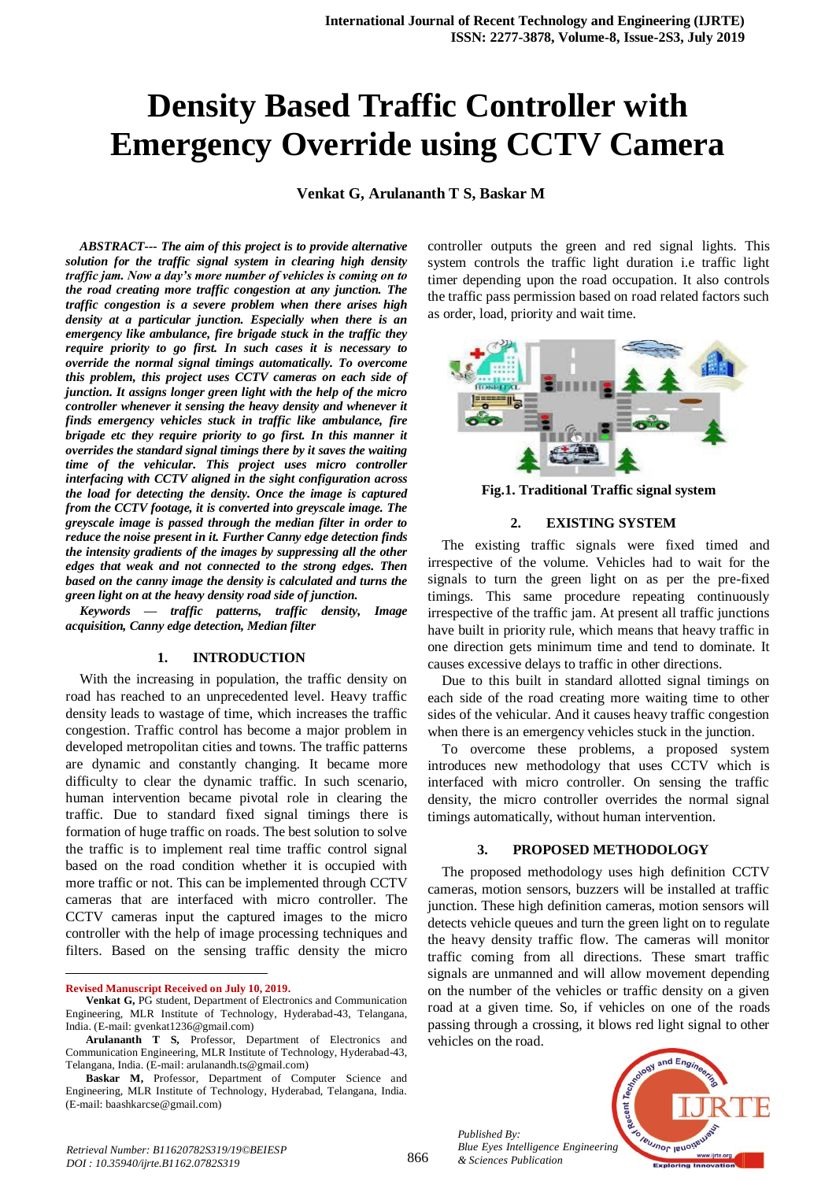# **Density Based Traffic Controller with Emergency Override using CCTV Camera**

**Venkat G, Arulananth T S, Baskar M**

*ABSTRACT--- The aim of this project is to provide alternative solution for the traffic signal system in clearing high density traffic jam. Now a day's more number of vehicles is coming on to the road creating more traffic congestion at any junction. The traffic congestion is a severe problem when there arises high density at a particular junction. Especially when there is an emergency like ambulance, fire brigade stuck in the traffic they require priority to go first. In such cases it is necessary to override the normal signal timings automatically. To overcome this problem, this project uses CCTV cameras on each side of junction. It assigns longer green light with the help of the micro controller whenever it sensing the heavy density and whenever it finds emergency vehicles stuck in traffic like ambulance, fire brigade etc they require priority to go first. In this manner it overrides the standard signal timings there by it saves the waiting time of the vehicular. This project uses micro controller interfacing with CCTV aligned in the sight configuration across the load for detecting the density. Once the image is captured from the CCTV footage, it is converted into greyscale image. The greyscale image is passed through the median filter in order to reduce the noise present in it. Further Canny edge detection finds the intensity gradients of the images by suppressing all the other edges that weak and not connected to the strong edges. Then based on the canny image the density is calculated and turns the green light on at the heavy density road side of junction.*

*Keywords — traffic patterns, traffic density, Image acquisition, Canny edge detection, Median filter*

#### **1. INTRODUCTION**

With the increasing in population, the traffic density on road has reached to an unprecedented level. Heavy traffic density leads to wastage of time, which increases the traffic congestion. Traffic control has become a major problem in developed metropolitan cities and towns. The traffic patterns are dynamic and constantly changing. It became more difficulty to clear the dynamic traffic. In such scenario, human intervention became pivotal role in clearing the traffic. Due to standard fixed signal timings there is formation of huge traffic on roads. The best solution to solve the traffic is to implement real time traffic control signal based on the road condition whether it is occupied with more traffic or not. This can be implemented through CCTV cameras that are interfaced with micro controller. The CCTV cameras input the captured images to the micro controller with the help of image processing techniques and filters. Based on the sensing traffic density the micro

**Revised Manuscript Received on July 10, 2019.**

 $\overline{a}$ 

controller outputs the green and red signal lights. This system controls the traffic light duration i.e traffic light timer depending upon the road occupation. It also controls the traffic pass permission based on road related factors such as order, load, priority and wait time.



**Fig.1. Traditional Traffic signal system**

#### **2. EXISTING SYSTEM**

The existing traffic signals were fixed timed and irrespective of the volume. Vehicles had to wait for the signals to turn the green light on as per the pre-fixed timings. This same procedure repeating continuously irrespective of the traffic jam. At present all traffic junctions have built in priority rule, which means that heavy traffic in one direction gets minimum time and tend to dominate. It causes excessive delays to traffic in other directions.

Due to this built in standard allotted signal timings on each side of the road creating more waiting time to other sides of the vehicular. And it causes heavy traffic congestion when there is an emergency vehicles stuck in the junction.

To overcome these problems, a proposed system introduces new methodology that uses CCTV which is interfaced with micro controller. On sensing the traffic density, the micro controller overrides the normal signal timings automatically, without human intervention.

#### **3. PROPOSED METHODOLOGY**

The proposed methodology uses high definition CCTV cameras, motion sensors, buzzers will be installed at traffic junction. These high definition cameras, motion sensors will detects vehicle queues and turn the green light on to regulate the heavy density traffic flow. The cameras will monitor traffic coming from all directions. These smart traffic signals are unmanned and will allow movement depending on the number of the vehicles or traffic density on a given road at a given time. So, if vehicles on one of the roads passing through a crossing, it blows red light signal to other vehicles on the road.

*Published By: Blue Eyes Intelligence Engineering & Sciences Publication* 



**Venkat G,** PG student, Department of Electronics and Communication Engineering, MLR Institute of Technology, Hyderabad-43, Telangana, India. (E-mail: gvenkat1236@gmail.com)

**Arulananth T S,** Professor, Department of Electronics and Communication Engineering, MLR Institute of Technology, Hyderabad-43, Telangana, India. (E-mail: arulanandh.ts@gmail.com)

**Baskar M,** Professor, Department of Computer Science and Engineering, MLR Institute of Technology, Hyderabad, Telangana, India. (E-mail: baashkarcse@gmail.com)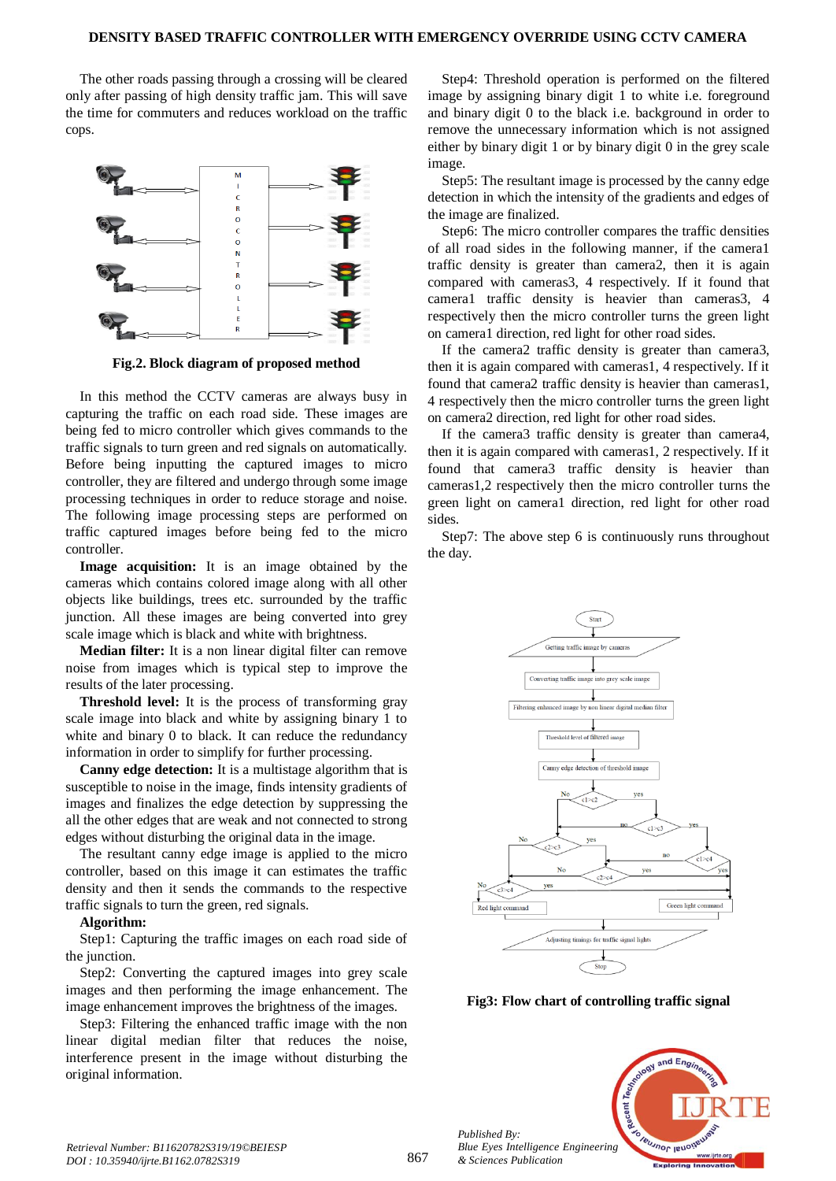The other roads passing through a crossing will be cleared only after passing of high density traffic jam. This will save the time for commuters and reduces workload on the traffic cops.



**Fig.2. Block diagram of proposed method**

In this method the CCTV cameras are always busy in capturing the traffic on each road side. These images are being fed to micro controller which gives commands to the traffic signals to turn green and red signals on automatically. Before being inputting the captured images to micro controller, they are filtered and undergo through some image processing techniques in order to reduce storage and noise. The following image processing steps are performed on traffic captured images before being fed to the micro controller.

Image acquisition: It is an image obtained by the cameras which contains colored image along with all other objects like buildings, trees etc. surrounded by the traffic junction. All these images are being converted into grey scale image which is black and white with brightness.

**Median filter:** It is a non linear digital filter can remove noise from images which is typical step to improve the results of the later processing.

**Threshold level:** It is the process of transforming gray scale image into black and white by assigning binary 1 to white and binary 0 to black. It can reduce the redundancy information in order to simplify for further processing.

**Canny edge detection:** It is a multistage algorithm that is susceptible to noise in the image, finds intensity gradients of images and finalizes the edge detection by suppressing the all the other edges that are weak and not connected to strong edges without disturbing the original data in the image.

The resultant canny edge image is applied to the micro controller, based on this image it can estimates the traffic density and then it sends the commands to the respective traffic signals to turn the green, red signals.

#### **Algorithm:**

Step1: Capturing the traffic images on each road side of the junction.

Step2: Converting the captured images into grey scale images and then performing the image enhancement. The image enhancement improves the brightness of the images.

Step3: Filtering the enhanced traffic image with the non linear digital median filter that reduces the noise, interference present in the image without disturbing the original information.

Step4: Threshold operation is performed on the filtered image by assigning binary digit 1 to white i.e. foreground and binary digit 0 to the black i.e. background in order to remove the unnecessary information which is not assigned either by binary digit 1 or by binary digit 0 in the grey scale image.

Step5: The resultant image is processed by the canny edge detection in which the intensity of the gradients and edges of the image are finalized.

Step6: The micro controller compares the traffic densities of all road sides in the following manner, if the camera1 traffic density is greater than camera2, then it is again compared with cameras3, 4 respectively. If it found that camera1 traffic density is heavier than cameras3, 4 respectively then the micro controller turns the green light on camera1 direction, red light for other road sides.

If the camera2 traffic density is greater than camera3, then it is again compared with cameras1, 4 respectively. If it found that camera2 traffic density is heavier than cameras1, 4 respectively then the micro controller turns the green light on camera2 direction, red light for other road sides.

If the camera3 traffic density is greater than camera4, then it is again compared with cameras1, 2 respectively. If it found that camera3 traffic density is heavier than cameras1,2 respectively then the micro controller turns the green light on camera1 direction, red light for other road sides.

Step7: The above step 6 is continuously runs throughout the day.



**Fig3: Flow chart of controlling traffic signal**



*Retrieval Number: B11620782S319/19©BEIESP DOI : 10.35940/ijrte.B1162.0782S319*

*Published By:*

*& Sciences Publication*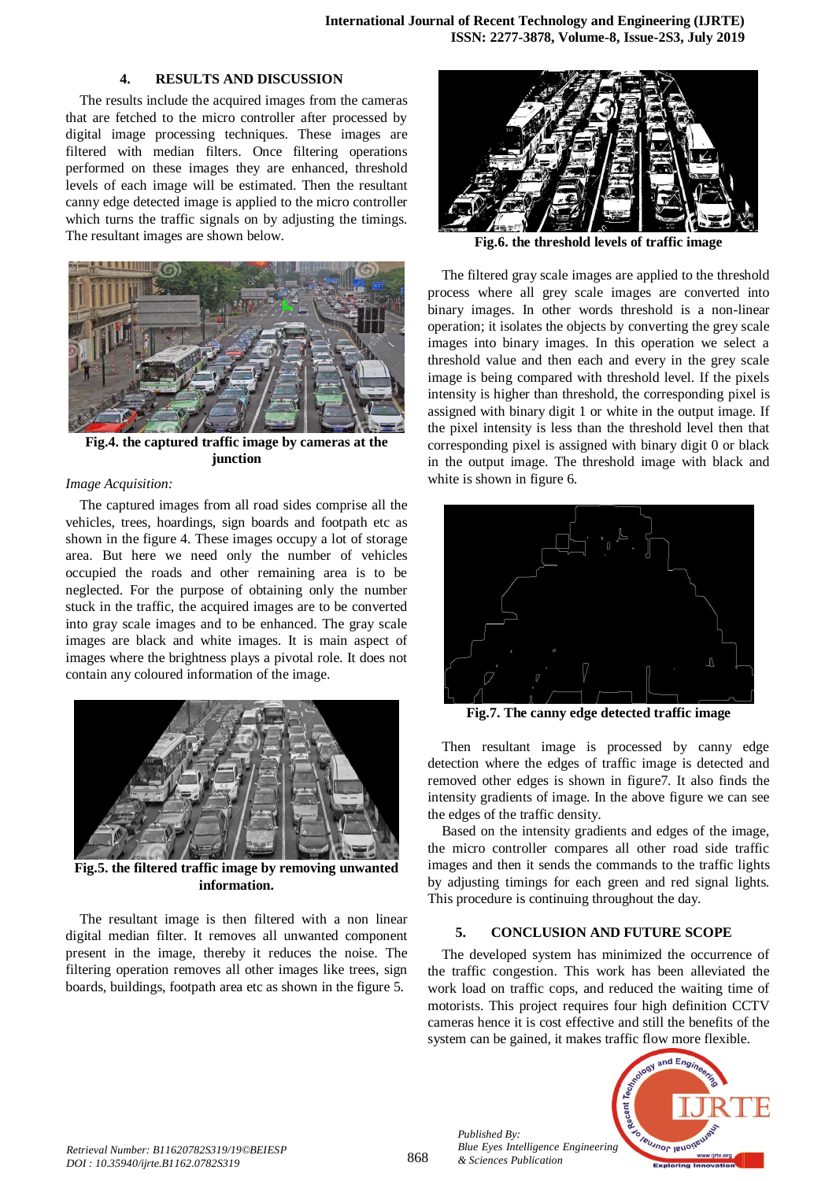## **4. RESULTS AND DISCUSSION**

The results include the acquired images from the cameras that are fetched to the micro controller after processed by digital image processing techniques. These images are filtered with median filters. Once filtering operations performed on these images they are enhanced, threshold levels of each image will be estimated. Then the resultant canny edge detected image is applied to the micro controller which turns the traffic signals on by adjusting the timings. The resultant images are shown below.



**Fig.4. the captured traffic image by cameras at the junction** 

### *Image Acquisition:*

The captured images from all road sides comprise all the vehicles, trees, hoardings, sign boards and footpath etc as shown in the figure 4. These images occupy a lot of storage area. But here we need only the number of vehicles occupied the roads and other remaining area is to be neglected. For the purpose of obtaining only the number stuck in the traffic, the acquired images are to be converted into gray scale images and to be enhanced. The gray scale images are black and white images. It is main aspect of images where the brightness plays a pivotal role. It does not contain any coloured information of the image.



**Fig.5. the filtered traffic image by removing unwanted information.**

The resultant image is then filtered with a non linear digital median filter. It removes all unwanted component present in the image, thereby it reduces the noise. The filtering operation removes all other images like trees, sign boards, buildings, footpath area etc as shown in the figure 5.



**Fig.6. the threshold levels of traffic image** 

The filtered gray scale images are applied to the threshold process where all grey scale images are converted into binary images. In other words threshold is a non-linear operation; it isolates the objects by converting the grey scale images into binary images. In this operation we select a threshold value and then each and every in the grey scale image is being compared with threshold level. If the pixels intensity is higher than threshold, the corresponding pixel is assigned with binary digit 1 or white in the output image. If the pixel intensity is less than the threshold level then that corresponding pixel is assigned with binary digit 0 or black in the output image. The threshold image with black and white is shown in figure 6.



**Fig.7. The canny edge detected traffic image** 

Then resultant image is processed by canny edge detection where the edges of traffic image is detected and removed other edges is shown in figure7. It also finds the intensity gradients of image. In the above figure we can see the edges of the traffic density.

Based on the intensity gradients and edges of the image, the micro controller compares all other road side traffic images and then it sends the commands to the traffic lights by adjusting timings for each green and red signal lights. This procedure is continuing throughout the day.

## **5. CONCLUSION AND FUTURE SCOPE**

The developed system has minimized the occurrence of the traffic congestion. This work has been alleviated the work load on traffic cops, and reduced the waiting time of motorists. This project requires four high definition CCTV cameras hence it is cost effective and still the benefits of the system can be gained, it makes traffic flow more flexible.



*Published By:*

*& Sciences Publication*